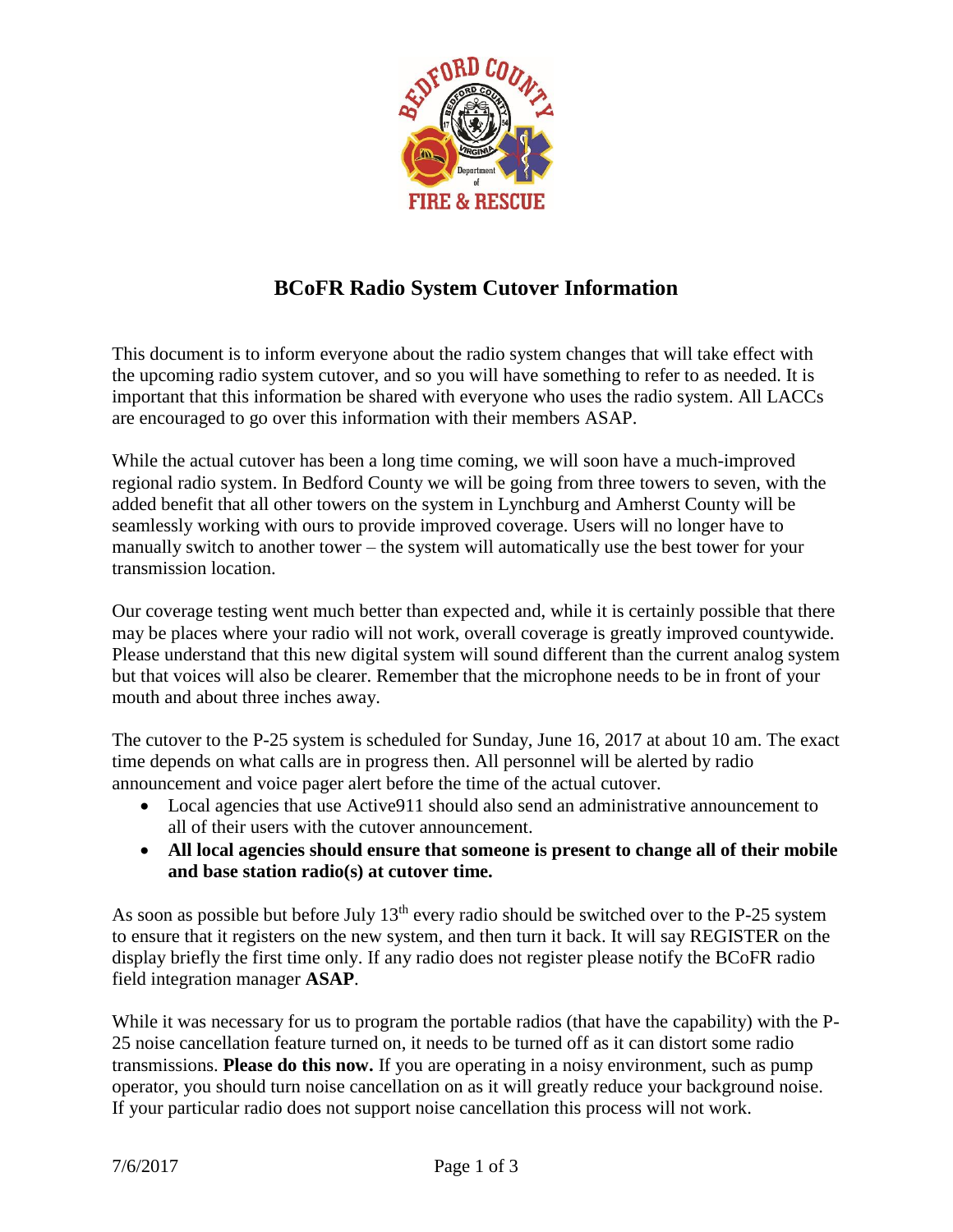

## **BCoFR Radio System Cutover Information**

This document is to inform everyone about the radio system changes that will take effect with the upcoming radio system cutover, and so you will have something to refer to as needed. It is important that this information be shared with everyone who uses the radio system. All LACCs are encouraged to go over this information with their members ASAP.

While the actual cutover has been a long time coming, we will soon have a much-improved regional radio system. In Bedford County we will be going from three towers to seven, with the added benefit that all other towers on the system in Lynchburg and Amherst County will be seamlessly working with ours to provide improved coverage. Users will no longer have to manually switch to another tower – the system will automatically use the best tower for your transmission location.

Our coverage testing went much better than expected and, while it is certainly possible that there may be places where your radio will not work, overall coverage is greatly improved countywide. Please understand that this new digital system will sound different than the current analog system but that voices will also be clearer. Remember that the microphone needs to be in front of your mouth and about three inches away.

The cutover to the P-25 system is scheduled for Sunday, June 16, 2017 at about 10 am. The exact time depends on what calls are in progress then. All personnel will be alerted by radio announcement and voice pager alert before the time of the actual cutover.

- Local agencies that use Active 911 should also send an administrative announcement to all of their users with the cutover announcement.
- **All local agencies should ensure that someone is present to change all of their mobile and base station radio(s) at cutover time.**

As soon as possible but before July  $13<sup>th</sup>$  every radio should be switched over to the P-25 system to ensure that it registers on the new system, and then turn it back. It will say REGISTER on the display briefly the first time only. If any radio does not register please notify the BCoFR radio field integration manager **ASAP**.

While it was necessary for us to program the portable radios (that have the capability) with the P-25 noise cancellation feature turned on, it needs to be turned off as it can distort some radio transmissions. **Please do this now.** If you are operating in a noisy environment, such as pump operator, you should turn noise cancellation on as it will greatly reduce your background noise. If your particular radio does not support noise cancellation this process will not work.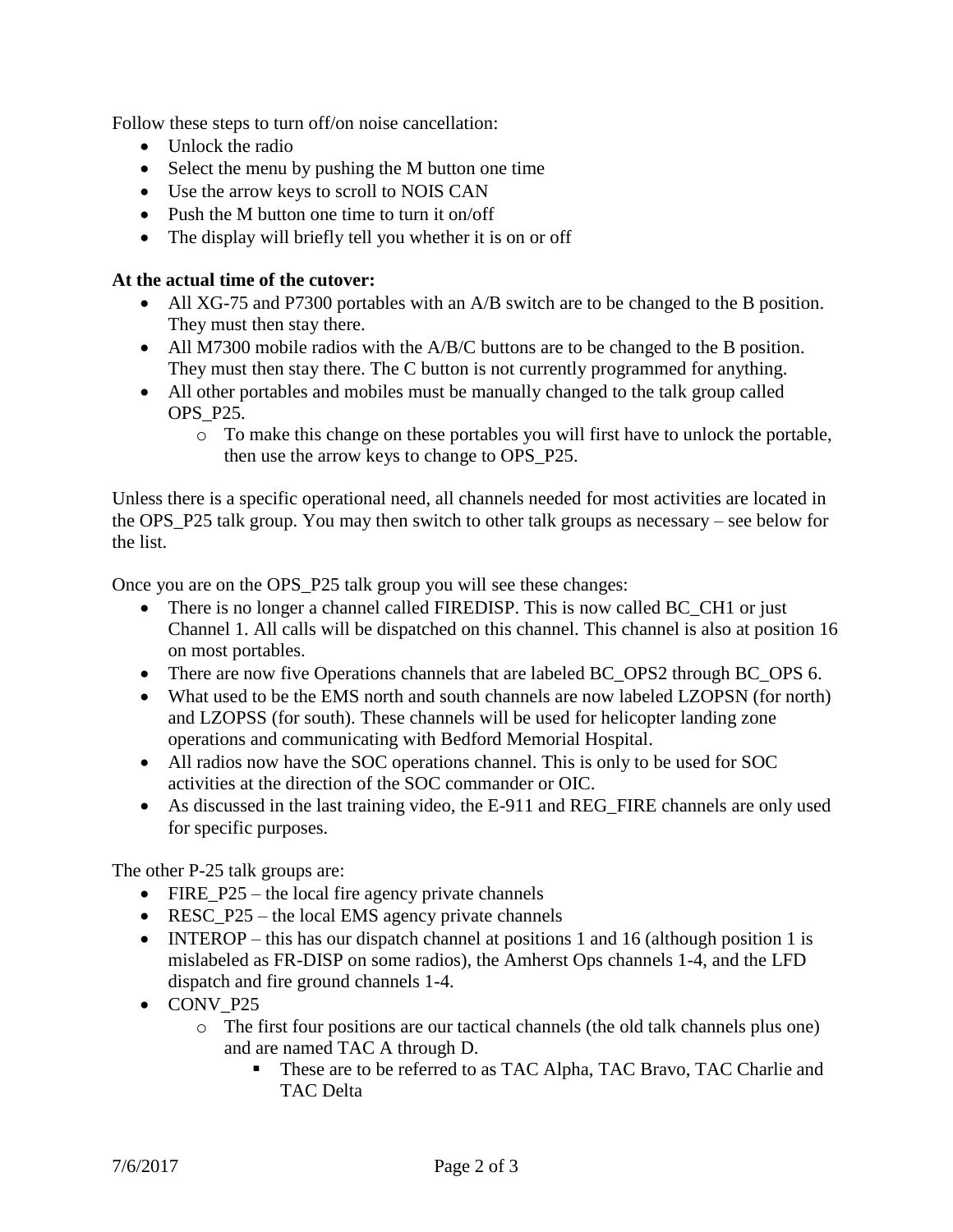Follow these steps to turn off/on noise cancellation:

- Unlock the radio
- Select the menu by pushing the M button one time
- Use the arrow keys to scroll to NOIS CAN
- Push the M button one time to turn it on/off
- The display will briefly tell you whether it is on or off

## **At the actual time of the cutover:**

- All XG-75 and P7300 portables with an A/B switch are to be changed to the B position. They must then stay there.
- All M7300 mobile radios with the A/B/C buttons are to be changed to the B position. They must then stay there. The C button is not currently programmed for anything.
- All other portables and mobiles must be manually changed to the talk group called OPS\_P25.
	- o To make this change on these portables you will first have to unlock the portable, then use the arrow keys to change to OPS\_P25.

Unless there is a specific operational need, all channels needed for most activities are located in the OPS\_P25 talk group. You may then switch to other talk groups as necessary – see below for the list.

Once you are on the OPS\_P25 talk group you will see these changes:

- There is no longer a channel called FIREDISP. This is now called BC CH1 or just Channel 1. All calls will be dispatched on this channel. This channel is also at position 16 on most portables.
- There are now five Operations channels that are labeled BC\_OPS2 through BC\_OPS 6.
- What used to be the EMS north and south channels are now labeled LZOPSN (for north) and LZOPSS (for south). These channels will be used for helicopter landing zone operations and communicating with Bedford Memorial Hospital.
- All radios now have the SOC operations channel. This is only to be used for SOC activities at the direction of the SOC commander or OIC.
- As discussed in the last training video, the E-911 and REG FIRE channels are only used for specific purposes.

The other P-25 talk groups are:

- FIRE\_P25 the local fire agency private channels
- RESC\_P25 the local EMS agency private channels
- INTEROP this has our dispatch channel at positions 1 and 16 (although position 1 is mislabeled as FR-DISP on some radios), the Amherst Ops channels 1-4, and the LFD dispatch and fire ground channels 1-4.
- CONV P25
	- o The first four positions are our tactical channels (the old talk channels plus one) and are named TAC A through D.
		- **These are to be referred to as TAC Alpha, TAC Bravo, TAC Charlie and** TAC Delta